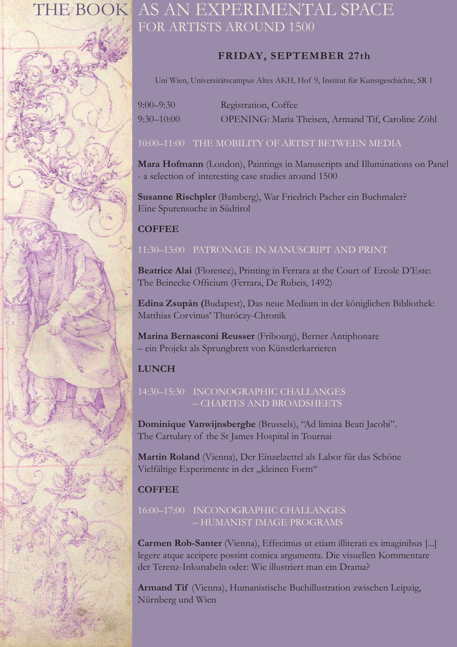

# THE BOOK AS AN EXPERIMENTAL SPACE FOR ARTISTS AROUND 1500

# **FRIDAY, SEPTEMBER 27th**

Uni Wien, Universitätscampus Altes AKH, Hof 9, Institut für Kunstgeschichte, SR 1

| $9:00 - 9:30$  | Registration, Coffee                              |
|----------------|---------------------------------------------------|
| $9:30 - 10:00$ | OPENING: Maria Theisen, Armand Tif, Caroline Zöhl |

### 10:00–11:00 THE MOBILITY OF ARTIST BETWEEN MEDIA

**Mara Hofmann** (London), Paintings in Manuscripts and Illuminations on Panel - a selection of interesting case studies around 1500

**Susanne Rischpler** (Bamberg), War Friedrich Pacher ein Buchmaler? Eine Spurensuche in Südtirol

# **COFFEE**

#### 11:30–13:00 PATRONAGE IN MANUSCRIPT AND PRINT

**Beatrice Alai** (Florence), Printing in Ferrara at the Court of Ercole D'Este: The Beinecke Officium (Ferrara, De Rubeis, 1492)

**Edina Zsupán (**Budapest), Das neue Medium in der königlichen Bibliothek: Matthias Corvinus' Thuróczy-Chronik

**Marina Bernasconi Reusser** (Fribourg), Berner Antiphonare – ein Projekt als Sprungbrett von Künstlerkarrieren

# **LUNCH**

#### 14:30–15:30 INCONOGRAPHIC CHALLANGES – CHARTES AND BROADSHEETS

**Dominique Vanwijnsberghe** (Brussels), "Ad limina Beati Jacobi". The Cartulary of the St James Hospital in Tournai

**Martin Roland** (Vienna), Der Einzelzettel als Labor für das Schöne Vielfältige Experimente in der "kleinen Form"

# **COFFEE**

#### 16:00–17:00 INCONOGRAPHIC CHALLANGES – HUMANIST IMAGE PROGRAMS

**Carmen Rob-Santer** (Vienna), Effecimus ut etiam illiterati ex imaginibus [...] legere atque accipere possint comica argumenta. Die visuellen Kommentare der Terenz-Inkunabeln oder: Wie illustriert man ein Drama?

**Armand Tif** (Vienna), Humanistische Buchillustration zwischen Leipzig, Nürnberg und Wien